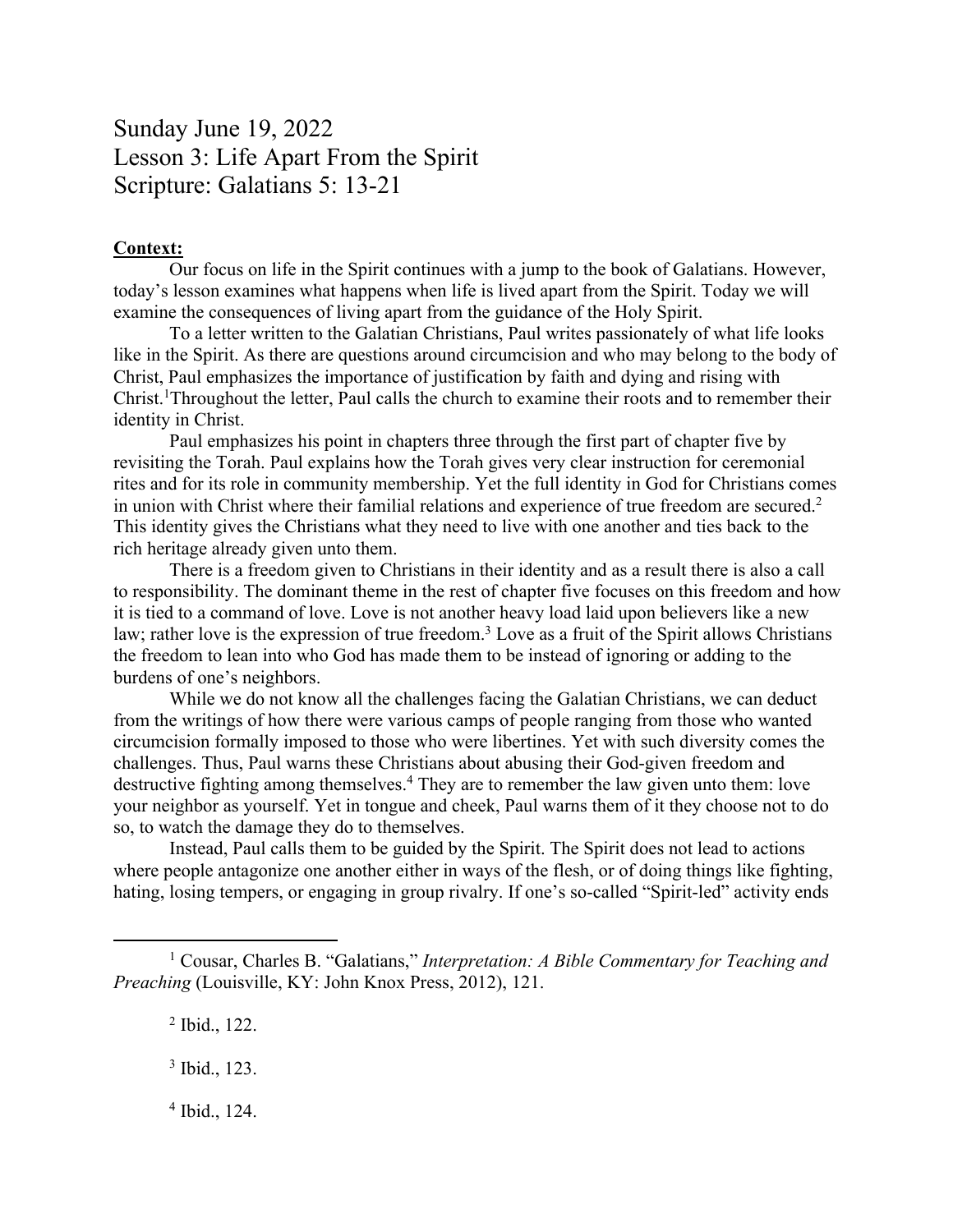## Sunday June 19, 2022 Lesson 3: Life Apart From the Spirit Scripture: Galatians 5: 13-21

## **Context:**

Our focus on life in the Spirit continues with a jump to the book of Galatians. However, today's lesson examines what happens when life is lived apart from the Spirit. Today we will examine the consequences of living apart from the guidance of the Holy Spirit.

To a letter written to the Galatian Christians, Paul writes passionately of what life looks like in the Spirit. As there are questions around circumcision and who may belong to the body of Christ, Paul emphasizes the importance of justification by faith and dying and rising with Christ.<sup>1</sup>Throughout the letter, Paul calls the church to examine their roots and to remember their identity in Christ.

Paul emphasizes his point in chapters three through the first part of chapter five by revisiting the Torah. Paul explains how the Torah gives very clear instruction for ceremonial rites and for its role in community membership. Yet the full identity in God for Christians comes in union with Christ where their familial relations and experience of true freedom are secured.<sup>2</sup> This identity gives the Christians what they need to live with one another and ties back to the rich heritage already given unto them.

There is a freedom given to Christians in their identity and as a result there is also a call to responsibility. The dominant theme in the rest of chapter five focuses on this freedom and how it is tied to a command of love. Love is not another heavy load laid upon believers like a new law; rather love is the expression of true freedom.<sup>3</sup> Love as a fruit of the Spirit allows Christians the freedom to lean into who God has made them to be instead of ignoring or adding to the burdens of one's neighbors.

While we do not know all the challenges facing the Galatian Christians, we can deduct from the writings of how there were various camps of people ranging from those who wanted circumcision formally imposed to those who were libertines. Yet with such diversity comes the challenges. Thus, Paul warns these Christians about abusing their God-given freedom and destructive fighting among themselves.<sup>4</sup> They are to remember the law given unto them: love your neighbor as yourself. Yet in tongue and cheek, Paul warns them of it they choose not to do so, to watch the damage they do to themselves.

Instead, Paul calls them to be guided by the Spirit. The Spirit does not lead to actions where people antagonize one another either in ways of the flesh, or of doing things like fighting, hating, losing tempers, or engaging in group rivalry. If one's so-called "Spirit-led" activity ends

<sup>1</sup> Cousar, Charles B. "Galatians," *Interpretation: A Bible Commentary for Teaching and Preaching* (Louisville, KY: John Knox Press, 2012), 121.

<sup>2</sup> Ibid., 122.

<sup>3</sup> Ibid., 123.

<sup>4</sup> Ibid., 124.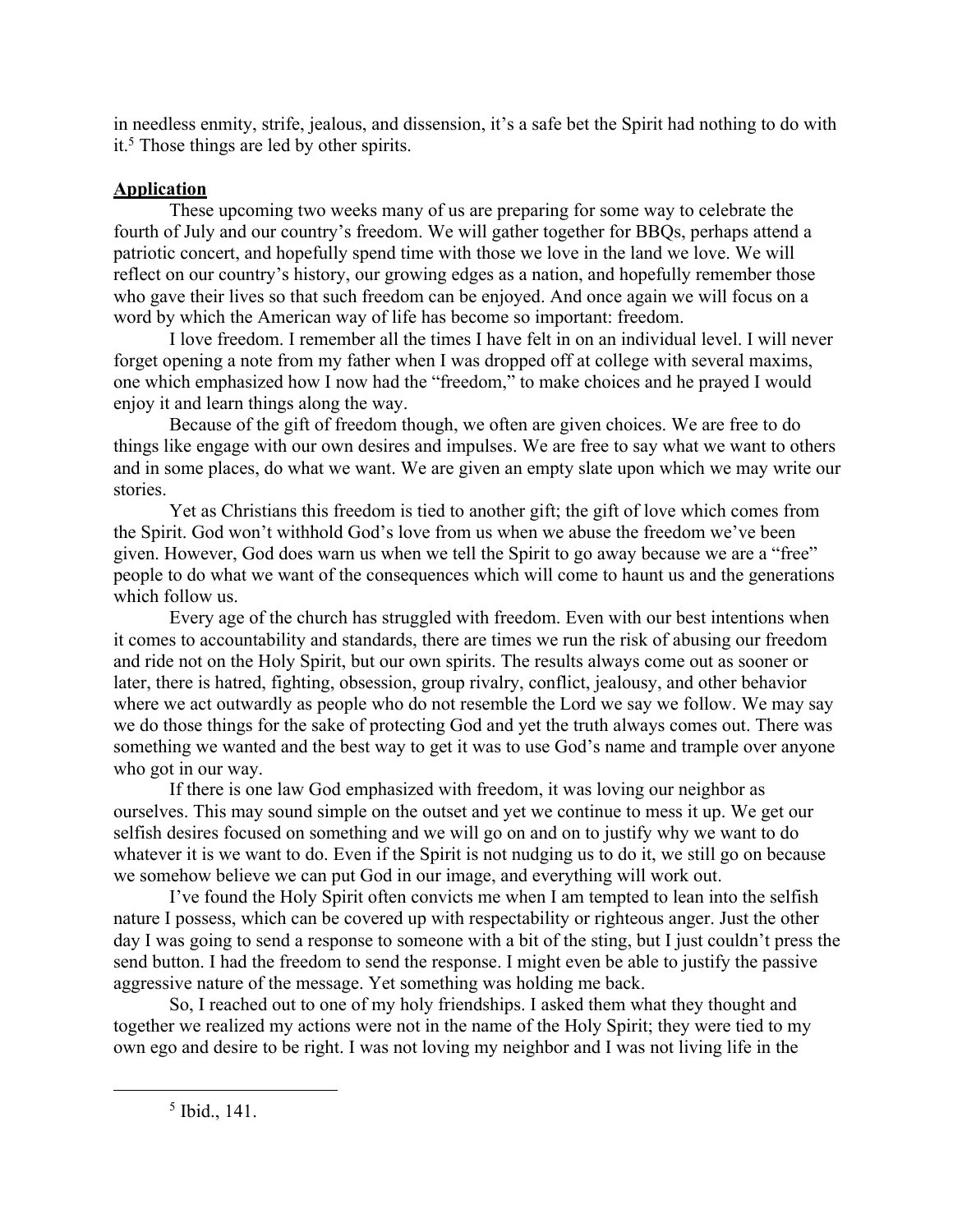in needless enmity, strife, jealous, and dissension, it's a safe bet the Spirit had nothing to do with it.<sup>5</sup> Those things are led by other spirits.

## **Application**

These upcoming two weeks many of us are preparing for some way to celebrate the fourth of July and our country's freedom. We will gather together for BBQs, perhaps attend a patriotic concert, and hopefully spend time with those we love in the land we love. We will reflect on our country's history, our growing edges as a nation, and hopefully remember those who gave their lives so that such freedom can be enjoyed. And once again we will focus on a word by which the American way of life has become so important: freedom.

I love freedom. I remember all the times I have felt in on an individual level. I will never forget opening a note from my father when I was dropped off at college with several maxims, one which emphasized how I now had the "freedom," to make choices and he prayed I would enjoy it and learn things along the way.

Because of the gift of freedom though, we often are given choices. We are free to do things like engage with our own desires and impulses. We are free to say what we want to others and in some places, do what we want. We are given an empty slate upon which we may write our stories.

Yet as Christians this freedom is tied to another gift; the gift of love which comes from the Spirit. God won't withhold God's love from us when we abuse the freedom we've been given. However, God does warn us when we tell the Spirit to go away because we are a "free" people to do what we want of the consequences which will come to haunt us and the generations which follow us.

Every age of the church has struggled with freedom. Even with our best intentions when it comes to accountability and standards, there are times we run the risk of abusing our freedom and ride not on the Holy Spirit, but our own spirits. The results always come out as sooner or later, there is hatred, fighting, obsession, group rivalry, conflict, jealousy, and other behavior where we act outwardly as people who do not resemble the Lord we say we follow. We may say we do those things for the sake of protecting God and yet the truth always comes out. There was something we wanted and the best way to get it was to use God's name and trample over anyone who got in our way.

If there is one law God emphasized with freedom, it was loving our neighbor as ourselves. This may sound simple on the outset and yet we continue to mess it up. We get our selfish desires focused on something and we will go on and on to justify why we want to do whatever it is we want to do. Even if the Spirit is not nudging us to do it, we still go on because we somehow believe we can put God in our image, and everything will work out.

I've found the Holy Spirit often convicts me when I am tempted to lean into the selfish nature I possess, which can be covered up with respectability or righteous anger. Just the other day I was going to send a response to someone with a bit of the sting, but I just couldn't press the send button. I had the freedom to send the response. I might even be able to justify the passive aggressive nature of the message. Yet something was holding me back.

So, I reached out to one of my holy friendships. I asked them what they thought and together we realized my actions were not in the name of the Holy Spirit; they were tied to my own ego and desire to be right. I was not loving my neighbor and I was not living life in the

<sup>5</sup> Ibid., 141.